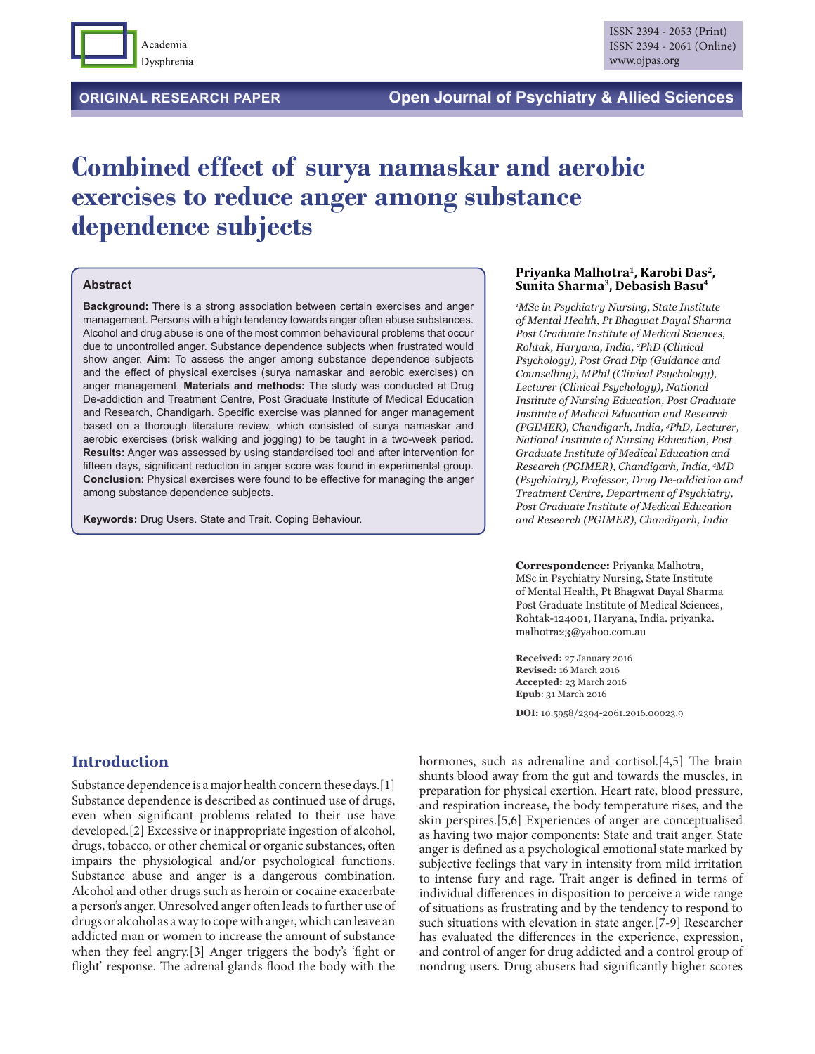

# **Combined effect of surya namaskar and aerobic exercises to reduce anger among substance dependence subjects**

#### **Abstract**

**Background:** There is a strong association between certain exercises and anger management. Persons with a high tendency towards anger often abuse substances. Alcohol and drug abuse is one of the most common behavioural problems that occur due to uncontrolled anger. Substance dependence subjects when frustrated would show anger. **Aim:** To assess the anger among substance dependence subjects and the effect of physical exercises (surya namaskar and aerobic exercises) on anger management. **Materials and methods:** The study was conducted at Drug De-addiction and Treatment Centre, Post Graduate Institute of Medical Education and Research, Chandigarh. Specific exercise was planned for anger management based on a thorough literature review, which consisted of surya namaskar and aerobic exercises (brisk walking and jogging) to be taught in a two-week period. **Results:** Anger was assessed by using standardised tool and after intervention for fifteen days, significant reduction in anger score was found in experimental group. **Conclusion**: Physical exercises were found to be effective for managing the anger among substance dependence subjects.

**Keywords:** Drug Users. State and Trait. Coping Behaviour.

#### **Priyanka Malhotra1, Karobi Das2, Sunita Sharma3, Debasish Basu4**

*1 MSc in Psychiatry Nursing, State Institute of Mental Health, Pt Bhagwat Dayal Sharma Post Graduate Institute of Medical Sciences, Rohtak, Haryana, India, 2 PhD (Clinical Psychology), Post Grad Dip (Guidance and Counselling), MPhil (Clinical Psychology), Lecturer (Clinical Psychology), National Institute of Nursing Education, Post Graduate Institute of Medical Education and Research (PGIMER), Chandigarh, India, 3 PhD, Lecturer, National Institute of Nursing Education, Post Graduate Institute of Medical Education and Research (PGIMER), Chandigarh, India, 4 MD (Psychiatry), Professor, Drug De-addiction and Treatment Centre, Department of Psychiatry, Post Graduate Institute of Medical Education and Research (PGIMER), Chandigarh, India*

**Correspondence:** Priyanka Malhotra, MSc in Psychiatry Nursing, State Institute of Mental Health, Pt Bhagwat Dayal Sharma Post Graduate Institute of Medical Sciences, Rohtak-124001, Haryana, India. priyanka. malhotra23@yahoo.com.au

**Received:** 27 January 2016 **Revised:** 16 March 2016 **Accepted:** 23 March 2016 **Epub**: 31 March 2016

**DOI:** 10.5958/2394-2061.2016.00023.9

## **Introduction**

Substance dependence is a major health concern these days.[1] Substance dependence is described as continued use of drugs, even when significant problems related to their use have developed.[2] Excessive or inappropriate ingestion of alcohol, drugs, tobacco, or other chemical or organic substances, often impairs the physiological and/or psychological functions. Substance abuse and anger is a dangerous combination. Alcohol and other drugs such as heroin or cocaine exacerbate a person's anger. Unresolved anger often leads to further use of drugs or alcohol as a way to cope with anger, which can leave an addicted man or women to increase the amount of substance when they feel angry.[3] Anger triggers the body's 'fight or flight' response. The adrenal glands flood the body with the

hormones, such as adrenaline and cortisol.[4,5] The brain shunts blood away from the gut and towards the muscles, in preparation for physical exertion. Heart rate, blood pressure, and respiration increase, the body temperature rises, and the skin perspires.[5,6] Experiences of anger are conceptualised as having two major components: State and trait anger. State anger is defined as a psychological emotional state marked by subjective feelings that vary in intensity from mild irritation to intense fury and rage. Trait anger is defined in terms of individual differences in disposition to perceive a wide range of situations as frustrating and by the tendency to respond to such situations with elevation in state anger.[7-9] Researcher has evaluated the differences in the experience, expression, and control of anger for drug addicted and a control group of nondrug users. Drug abusers had significantly higher scores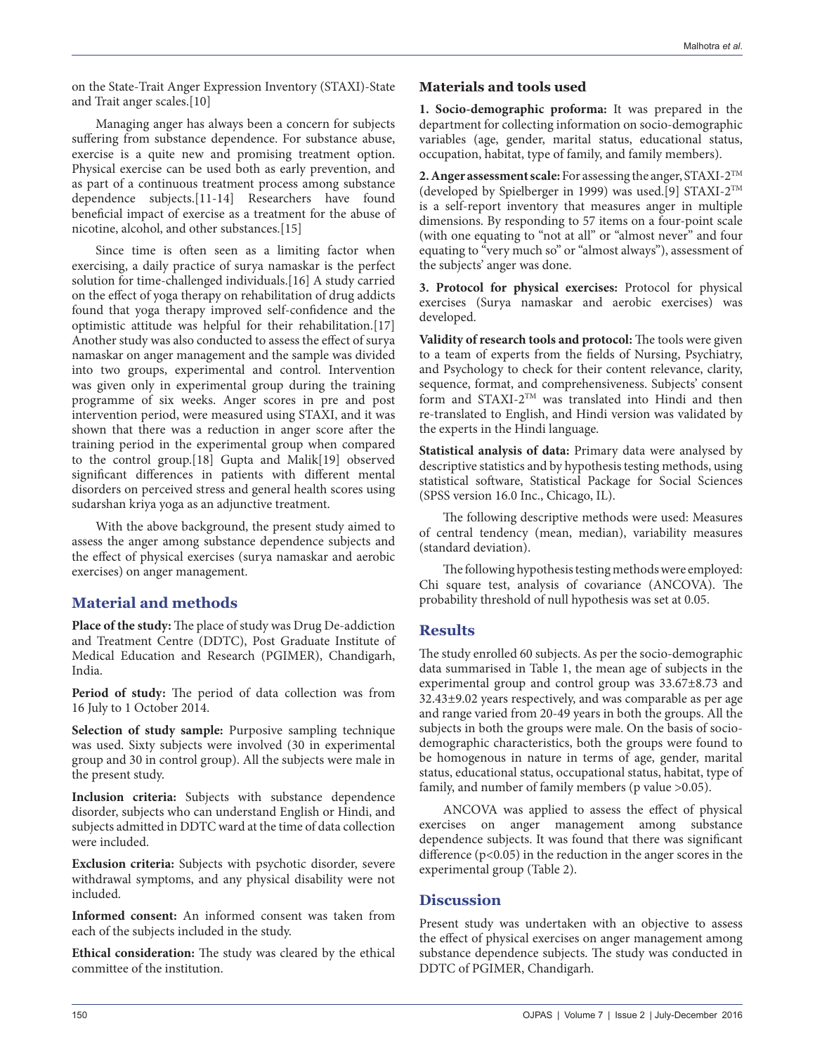on the State-Trait Anger Expression Inventory (STAXI)-State and Trait anger scales.[10]

Managing anger has always been a concern for subjects suffering from substance dependence. For substance abuse, exercise is a quite new and promising treatment option. Physical exercise can be used both as early prevention, and as part of a continuous treatment process among substance dependence subjects.[11-14] Researchers have found beneficial impact of exercise as a treatment for the abuse of nicotine, alcohol, and other substances.[15]

Since time is often seen as a limiting factor when exercising, a daily practice of surya namaskar is the perfect solution for time-challenged individuals.[16] A study carried on the effect of yoga therapy on rehabilitation of drug addicts found that yoga therapy improved self-confidence and the optimistic attitude was helpful for their rehabilitation.[17] Another study was also conducted to assess the effect of surya namaskar on anger management and the sample was divided into two groups, experimental and control. Intervention was given only in experimental group during the training programme of six weeks. Anger scores in pre and post intervention period, were measured using STAXI, and it was shown that there was a reduction in anger score after the training period in the experimental group when compared to the control group.[18] Gupta and Malik[19] observed significant differences in patients with different mental disorders on perceived stress and general health scores using sudarshan kriya yoga as an adjunctive treatment.

With the above background, the present study aimed to assess the anger among substance dependence subjects and the effect of physical exercises (surya namaskar and aerobic exercises) on anger management.

# **Material and methods**

**Place of the study:** The place of study was Drug De-addiction and Treatment Centre (DDTC), Post Graduate Institute of Medical Education and Research (PGIMER), Chandigarh, India.

**Period of study:** The period of data collection was from 16 July to 1 October 2014.

**Selection of study sample:** Purposive sampling technique was used. Sixty subjects were involved (30 in experimental group and 30 in control group). All the subjects were male in the present study.

**Inclusion criteria:** Subjects with substance dependence disorder, subjects who can understand English or Hindi, and subjects admitted in DDTC ward at the time of data collection were included.

**Exclusion criteria:** Subjects with psychotic disorder, severe withdrawal symptoms, and any physical disability were not included.

**Informed consent:** An informed consent was taken from each of the subjects included in the study.

**Ethical consideration:** The study was cleared by the ethical committee of the institution.

## **Materials and tools used**

**1. Socio-demographic proforma:** It was prepared in the department for collecting information on socio-demographic variables (age, gender, marital status, educational status, occupation, habitat, type of family, and family members).

**2. Anger assessment scale:** For assessing the anger, STAXI-2TM (developed by Spielberger in 1999) was used.[9] STAXI-2TM is a self-report inventory that measures anger in multiple dimensions. By responding to 57 items on a four-point scale (with one equating to "not at all" or "almost never" and four equating to "very much so" or "almost always"), assessment of the subjects' anger was done.

**3. Protocol for physical exercises:** Protocol for physical exercises (Surya namaskar and aerobic exercises) was developed.

**Validity of research tools and protocol:** The tools were given to a team of experts from the fields of Nursing, Psychiatry, and Psychology to check for their content relevance, clarity, sequence, format, and comprehensiveness. Subjects' consent form and STAXI-2TM was translated into Hindi and then re-translated to English, and Hindi version was validated by the experts in the Hindi language.

**Statistical analysis of data:** Primary data were analysed by descriptive statistics and by hypothesis testing methods, using statistical software, Statistical Package for Social Sciences (SPSS version 16.0 Inc., Chicago, IL).

The following descriptive methods were used: Measures of central tendency (mean, median), variability measures (standard deviation).

The following hypothesis testing methods were employed: Chi square test, analysis of covariance (ANCOVA). The probability threshold of null hypothesis was set at 0.05.

## **Results**

The study enrolled 60 subjects. As per the socio-demographic data summarised in Table 1, the mean age of subjects in the experimental group and control group was 33.67±8.73 and 32.43±9.02 years respectively, and was comparable as per age and range varied from 20-49 years in both the groups. All the subjects in both the groups were male. On the basis of sociodemographic characteristics, both the groups were found to be homogenous in nature in terms of age, gender, marital status, educational status, occupational status, habitat, type of family, and number of family members (p value >0.05).

ANCOVA was applied to assess the effect of physical exercises on anger management among substance dependence subjects. It was found that there was significant difference  $(p<0.05)$  in the reduction in the anger scores in the experimental group (Table 2).

# **Discussion**

Present study was undertaken with an objective to assess the effect of physical exercises on anger management among substance dependence subjects. The study was conducted in DDTC of PGIMER, Chandigarh.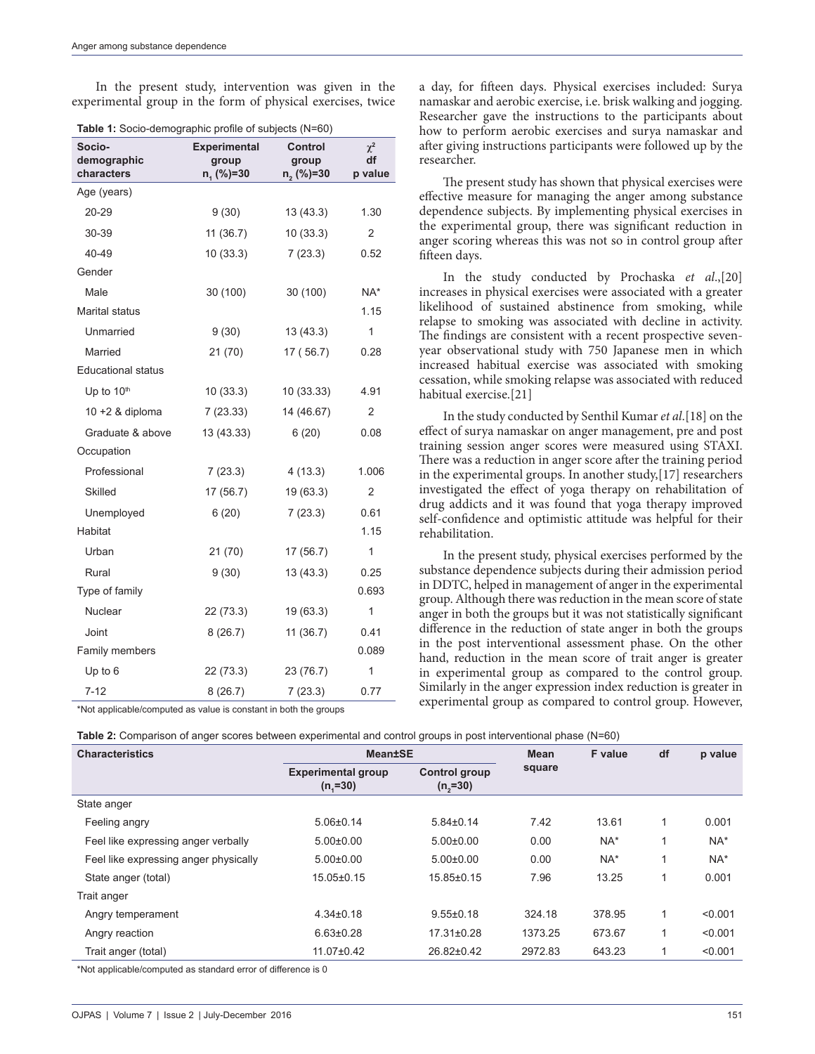In the present study, intervention was given in the experimental group in the form of physical exercises, twice

|  |  | Table 1: Socio-demographic profile of subjects (N=60) |  |  |
|--|--|-------------------------------------------------------|--|--|
|--|--|-------------------------------------------------------|--|--|

| Socio-<br>demographic<br>characters | <b>Experimental</b><br>group<br>$n, (%)=30$ | Control<br>group<br>n, (%)=30 | $\chi^2$<br>df<br>p value |
|-------------------------------------|---------------------------------------------|-------------------------------|---------------------------|
| Age (years)                         |                                             |                               |                           |
| 20-29                               | 9(30)                                       | 13(43.3)                      | 1.30                      |
| 30-39                               | 11(36.7)                                    | 10(33.3)                      | $\overline{2}$            |
| 40-49                               | 10(33.3)                                    | 7(23.3)                       | 0.52                      |
| Gender                              |                                             |                               |                           |
| Male                                | 30 (100)                                    | 30 (100)                      | NA*                       |
| Marital status                      |                                             |                               | 1.15                      |
| Unmarried                           | 9(30)                                       | 13(43.3)                      | 1                         |
| Married                             | 21(70)                                      | 17 (56.7)                     | 0.28                      |
| <b>Educational status</b>           |                                             |                               |                           |
| Up to 10th                          | 10(33.3)                                    | 10 (33.33)                    | 4.91                      |
| 10 +2 $&$ diploma                   | 7(23.33)                                    | 14 (46.67)                    | $\overline{2}$            |
| Graduate & above                    | 13 (43.33)                                  | 6(20)                         | 0.08                      |
| Occupation                          |                                             |                               |                           |
| Professional                        | 7(23.3)                                     | 4(13.3)                       | 1.006                     |
| Skilled                             | 17 (56.7)                                   | 19 (63.3)                     | 2                         |
| Unemployed                          | 6(20)                                       | 7(23.3)                       | 0.61                      |
| Habitat                             |                                             |                               | 1.15                      |
| Urban                               | 21 (70)                                     | 17(56.7)                      | 1                         |
| Rural                               | 9(30)                                       | 13(43.3)                      | 0.25                      |
| Type of family                      |                                             |                               | 0.693                     |
| <b>Nuclear</b>                      | 22 (73.3)                                   | 19 (63.3)                     | 1                         |
| Joint                               | 8(26.7)                                     | 11 (36.7)                     | 0.41                      |
| Family members                      |                                             |                               | 0.089                     |
| Up to 6                             | 22 (73.3)                                   | 23 (76.7)                     | 1                         |
| $7 - 12$                            | 8(26.7)                                     | 7(23.3)                       | 0.77                      |

\*Not applicable/computed as value is constant in both the groups

a day, for fifteen days. Physical exercises included: Surya namaskar and aerobic exercise, i.e. brisk walking and jogging. Researcher gave the instructions to the participants about how to perform aerobic exercises and surya namaskar and after giving instructions participants were followed up by the researcher.

The present study has shown that physical exercises were effective measure for managing the anger among substance dependence subjects. By implementing physical exercises in the experimental group, there was significant reduction in anger scoring whereas this was not so in control group after fifteen days.

In the study conducted by Prochaska *et al*.,[20] increases in physical exercises were associated with a greater likelihood of sustained abstinence from smoking, while relapse to smoking was associated with decline in activity. The findings are consistent with a recent prospective sevenyear observational study with 750 Japanese men in which increased habitual exercise was associated with smoking cessation, while smoking relapse was associated with reduced habitual exercise.[21]

In the study conducted by Senthil Kumar *et al*.[18] on the effect of surya namaskar on anger management, pre and post training session anger scores were measured using STAXI. There was a reduction in anger score after the training period in the experimental groups. In another study,[17] researchers investigated the effect of yoga therapy on rehabilitation of drug addicts and it was found that yoga therapy improved self-confidence and optimistic attitude was helpful for their rehabilitation.

In the present study, physical exercises performed by the substance dependence subjects during their admission period in DDTC, helped in management of anger in the experimental group. Although there was reduction in the mean score of state anger in both the groups but it was not statistically significant difference in the reduction of state anger in both the groups in the post interventional assessment phase. On the other hand, reduction in the mean score of trait anger is greater in experimental group as compared to the control group. Similarly in the anger expression index reduction is greater in experimental group as compared to control group. However,

|  |  | Table 2: Comparison of anger scores between experimental and control groups in post interventional phase (N=60) |  |
|--|--|-----------------------------------------------------------------------------------------------------------------|--|
|--|--|-----------------------------------------------------------------------------------------------------------------|--|

| <b>Characteristics</b>                | <b>Mean±SE</b>                           |                              | <b>Mean</b> | F value | df | p value |
|---------------------------------------|------------------------------------------|------------------------------|-------------|---------|----|---------|
|                                       | <b>Experimental group</b><br>$(n, = 30)$ | Control group<br>$(n, = 30)$ | square      |         |    |         |
| State anger                           |                                          |                              |             |         |    |         |
| Feeling angry                         | $5.06 \pm 0.14$                          | $5.84 \pm 0.14$              | 7.42        | 13.61   |    | 0.001   |
| Feel like expressing anger verbally   | $5.00 \pm 0.00$                          | $5.00+0.00$                  | 0.00        | NA*     |    | $NA^*$  |
| Feel like expressing anger physically | $5.00 \pm 0.00$                          | $5.00+0.00$                  | 0.00        | NA*     |    | $NA^*$  |
| State anger (total)                   | 15.05±0.15                               | 15.85±0.15                   | 7.96        | 13.25   | 1  | 0.001   |
| Trait anger                           |                                          |                              |             |         |    |         |
| Angry temperament                     | $4.34\pm0.18$                            | $9.55 \pm 0.18$              | 324.18      | 378.95  | 1  | < 0.001 |
| Angry reaction                        | $6.63 \pm 0.28$                          | 17.31±0.28                   | 1373.25     | 673.67  | 1  | < 0.001 |
| Trait anger (total)                   | 11.07±0.42                               | 26.82±0.42                   | 2972.83     | 643.23  |    | < 0.001 |
|                                       |                                          |                              |             |         |    |         |

\*Not applicable/computed as standard error of difference is 0